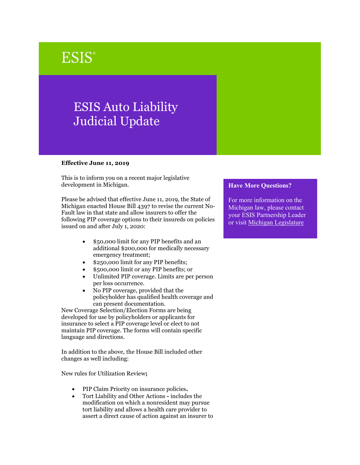## **ESIS**®

## ESIS Auto Liability Judicial Update

## **Effective June 11, 2019**

This is to inform you on a recent major legislative development in Michigan.

Please be advised that effective June 11, 2019, the State of Michigan enacted House Bill 4397 to revise the current No-Fault law in that state and allow insurers to offer the following PIP coverage options to their insureds on policies issued on and after July 1, 2020:

- \$50,000 limit for any PIP benefits and an additional \$200,000 for medically necessary emergency treatment;
- \$250,000 limit for any PIP benefits;
- \$500,000 limit or any PIP benefits; or
- Unlimited PIP coverage. Limits are per person per loss occurrence.
- No PIP coverage, provided that the policyholder has qualified health coverage and can present documentation.

New Coverage Selection/Election Forms are being developed for use by policyholders or applicants for insurance to select a PIP coverage level or elect to not maintain PIP coverage. The forms will contain specific language and directions.

In addition to the above, the House Bill included other changes as well including:

New rules for Utilization Review**;** 

- PIP Claim Priority on insurance policies**.**
- Tort Liability and Other Actions **-** includes the modification on which a nonresident may pursue tort liability and allows a health care provider to assert a direct cause of action against an insurer to

## **Have More Questions?**

For more information on the Michigan law, please contact your ESIS Partnership Leader or visit [Michigan Legislature](https://www.legislature.mi.gov/(S(zcxhgxvaujtnokbalmurabu1))/mileg.aspx?page=getObject&objectName=2019-HB-4397)